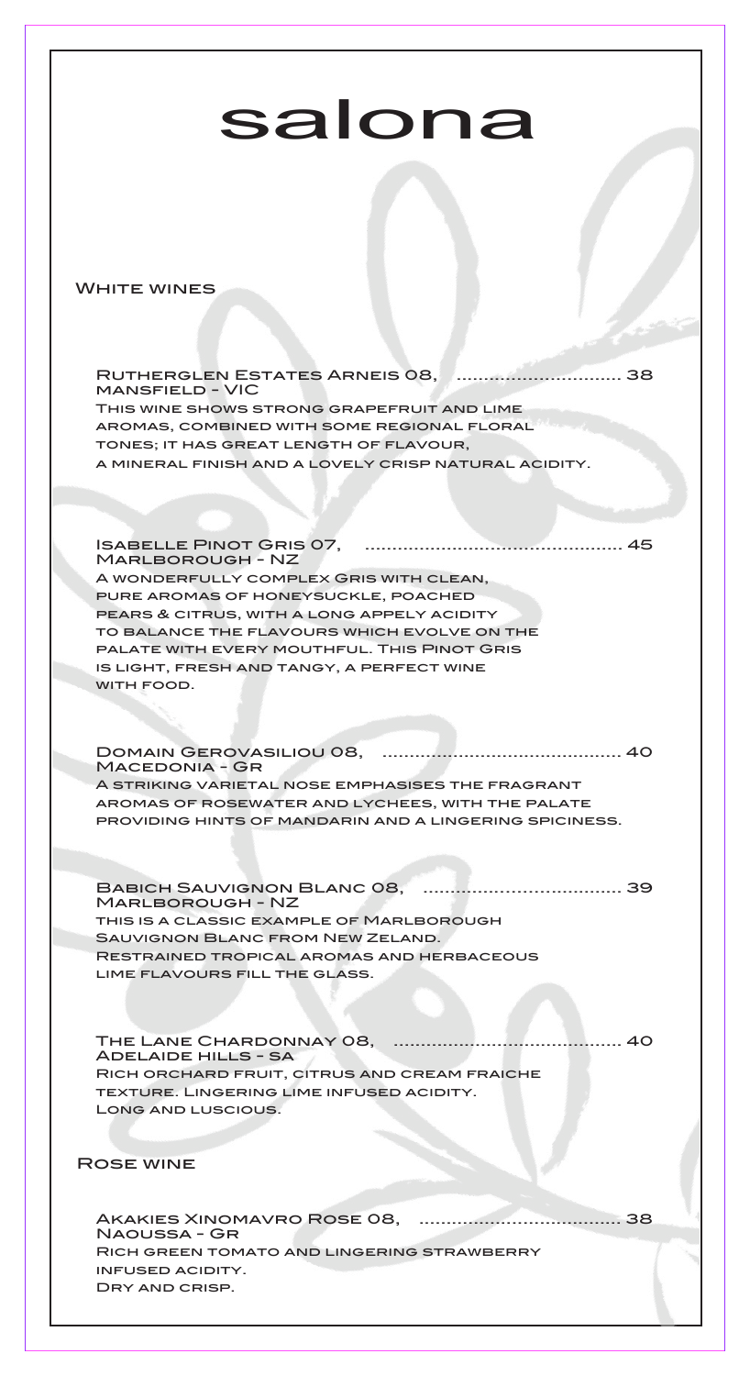## salona

## **WHITE WINES**

Rutherglen Estates Arneis 08, .............................. 38 mansfield - VIC This wine shows strong grapefruit and lime aromas, combined with some regional floral tones; it has great length of flavour, a mineral finish and a lovely crisp natural acidity.

Isabelle Pinot Gris 07, ............................................... 45 Marlborough - NZ A wonderfully complex Gris with clean, pure aromas of honeysuckle, poached pears & citrus, with a long appely acidity to balance the flavours which evolve on the palate with every mouthful. This Pinot Gris is light, fresh and tangy, a perfect wine WITH FOOD.

Domain Gerovasiliou 08, ............................................ 40 MACEDONIA - GR A striking varietal nose emphasises the fragrant aromas of rosewater and lychees, with the palate providing hints of mandarin and a lingering spiciness.

Babich Sauvignon Blanc 08, .................................... 39 Marlborough - NZ this is a classic example of Marlborough Sauvignon Blanc from New Zeland.

Restrained tropical aromas and herbaceous lime flavours fill the glass.

The Lane Chardonnay 08, .......................................... 40 Adelaide hills - sa Rich orchard fruit, citrus and cream fraiche texture. Lingering lime infused acidity. Long and luscious.

Rose wine

Akakies Xinomavro Rose 08, ..................................... 38 Naoussa - Gr Rich green tomato and lingering strawberry infused acidity. Dry and crisp.